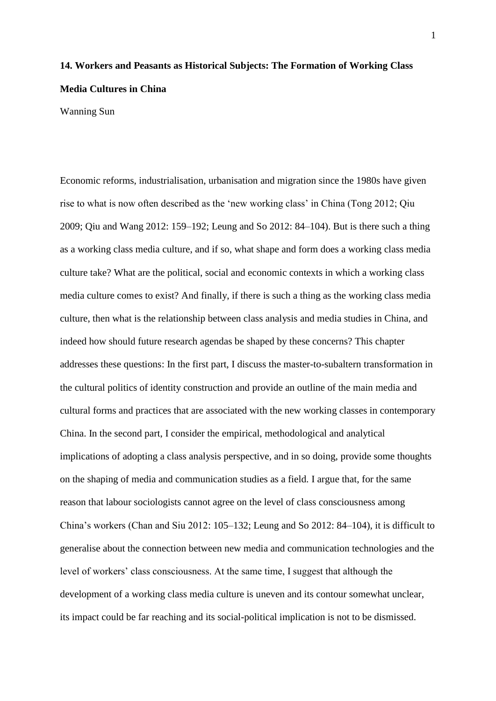## **14. Workers and Peasants as Historical Subjects: The Formation of Working Class Media Cultures in China**

Wanning Sun

Economic reforms, industrialisation, urbanisation and migration since the 1980s have given rise to what is now often described as the 'new working class' in China (Tong 2012; Qiu 2009; Qiu and Wang 2012: 159–192; Leung and So 2012: 84–104). But is there such a thing as a working class media culture, and if so, what shape and form does a working class media culture take? What are the political, social and economic contexts in which a working class media culture comes to exist? And finally, if there is such a thing as the working class media culture, then what is the relationship between class analysis and media studies in China, and indeed how should future research agendas be shaped by these concerns? This chapter addresses these questions: In the first part, I discuss the master-to-subaltern transformation in the cultural politics of identity construction and provide an outline of the main media and cultural forms and practices that are associated with the new working classes in contemporary China. In the second part, I consider the empirical, methodological and analytical implications of adopting a class analysis perspective, and in so doing, provide some thoughts on the shaping of media and communication studies as a field. I argue that, for the same reason that labour sociologists cannot agree on the level of class consciousness among China's workers (Chan and Siu 2012: 105–132; Leung and So 2012: 84–104), it is difficult to generalise about the connection between new media and communication technologies and the level of workers' class consciousness. At the same time, I suggest that although the development of a working class media culture is uneven and its contour somewhat unclear, its impact could be far reaching and its social-political implication is not to be dismissed.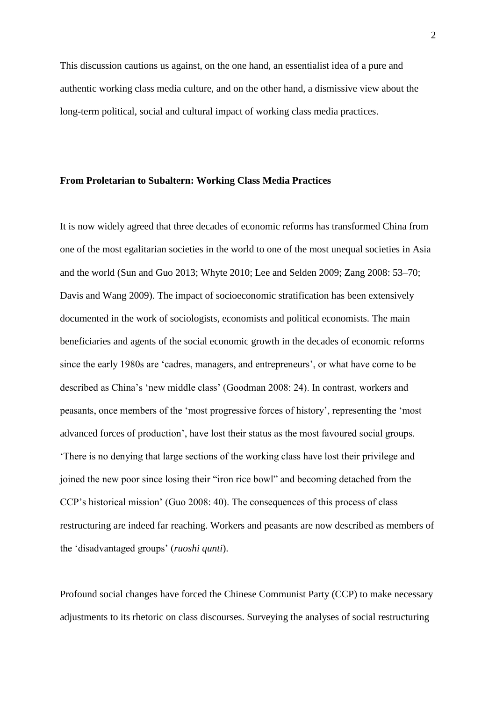This discussion cautions us against, on the one hand, an essentialist idea of a pure and authentic working class media culture, and on the other hand, a dismissive view about the long-term political, social and cultural impact of working class media practices.

## **From Proletarian to Subaltern: Working Class Media Practices**

It is now widely agreed that three decades of economic reforms has transformed China from one of the most egalitarian societies in the world to one of the most unequal societies in Asia and the world (Sun and Guo 2013; Whyte 2010; Lee and Selden 2009; Zang 2008: 53–70; Davis and Wang 2009). The impact of socioeconomic stratification has been extensively documented in the work of sociologists, economists and political economists. The main beneficiaries and agents of the social economic growth in the decades of economic reforms since the early 1980s are 'cadres, managers, and entrepreneurs', or what have come to be described as China's 'new middle class' (Goodman 2008: 24). In contrast, workers and peasants, once members of the 'most progressive forces of history', representing the 'most advanced forces of production', have lost their status as the most favoured social groups. 'There is no denying that large sections of the working class have lost their privilege and joined the new poor since losing their "iron rice bowl" and becoming detached from the CCP's historical mission' (Guo 2008: 40). The consequences of this process of class restructuring are indeed far reaching. Workers and peasants are now described as members of the 'disadvantaged groups' (*ruoshi qunti*).

Profound social changes have forced the Chinese Communist Party (CCP) to make necessary adjustments to its rhetoric on class discourses. Surveying the analyses of social restructuring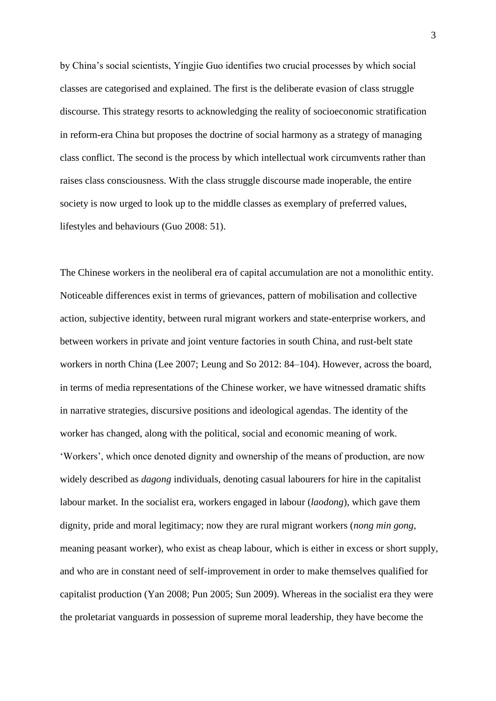by China's social scientists, Yingjie Guo identifies two crucial processes by which social classes are categorised and explained. The first is the deliberate evasion of class struggle discourse. This strategy resorts to acknowledging the reality of socioeconomic stratification in reform-era China but proposes the doctrine of social harmony as a strategy of managing class conflict. The second is the process by which intellectual work circumvents rather than raises class consciousness. With the class struggle discourse made inoperable, the entire society is now urged to look up to the middle classes as exemplary of preferred values, lifestyles and behaviours (Guo 2008: 51).

The Chinese workers in the neoliberal era of capital accumulation are not a monolithic entity. Noticeable differences exist in terms of grievances, pattern of mobilisation and collective action, subjective identity, between rural migrant workers and state-enterprise workers, and between workers in private and joint venture factories in south China, and rust-belt state workers in north China (Lee 2007; Leung and So 2012: 84–104). However, across the board, in terms of media representations of the Chinese worker, we have witnessed dramatic shifts in narrative strategies, discursive positions and ideological agendas. The identity of the worker has changed, along with the political, social and economic meaning of work. 'Workers', which once denoted dignity and ownership of the means of production, are now widely described as *dagong* individuals, denoting casual labourers for hire in the capitalist labour market. In the socialist era, workers engaged in labour (*laodong*), which gave them dignity, pride and moral legitimacy; now they are rural migrant workers (*nong min gong*, meaning peasant worker), who exist as cheap labour, which is either in excess or short supply, and who are in constant need of self-improvement in order to make themselves qualified for capitalist production (Yan 2008; Pun 2005; Sun 2009). Whereas in the socialist era they were the proletariat vanguards in possession of supreme moral leadership, they have become the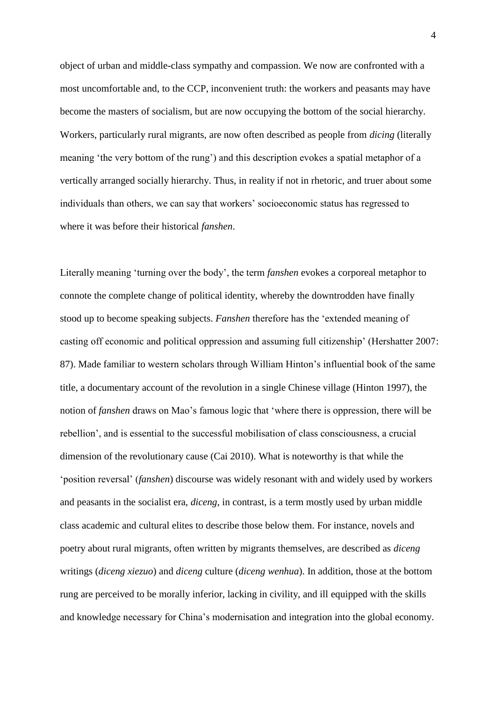object of urban and middle-class sympathy and compassion. We now are confronted with a most uncomfortable and, to the CCP, inconvenient truth: the workers and peasants may have become the masters of socialism, but are now occupying the bottom of the social hierarchy. Workers, particularly rural migrants, are now often described as people from *dicing* (literally meaning 'the very bottom of the rung') and this description evokes a spatial metaphor of a vertically arranged socially hierarchy. Thus, in reality if not in rhetoric, and truer about some individuals than others, we can say that workers' socioeconomic status has regressed to where it was before their historical *fanshen*.

Literally meaning 'turning over the body', the term *fanshen* evokes a corporeal metaphor to connote the complete change of political identity, whereby the downtrodden have finally stood up to become speaking subjects. *Fanshen* therefore has the 'extended meaning of casting off economic and political oppression and assuming full citizenship' (Hershatter 2007: 87). Made familiar to western scholars through William Hinton's influential book of the same title, a documentary account of the revolution in a single Chinese village (Hinton 1997), the notion of *fanshen* draws on Mao's famous logic that 'where there is oppression, there will be rebellion', and is essential to the successful mobilisation of class consciousness, a crucial dimension of the revolutionary cause (Cai 2010). What is noteworthy is that while the 'position reversal' (*fanshen*) discourse was widely resonant with and widely used by workers and peasants in the socialist era, *diceng*, in contrast, is a term mostly used by urban middle class academic and cultural elites to describe those below them. For instance, novels and poetry about rural migrants, often written by migrants themselves, are described as *diceng* writings (*diceng xiezuo*) and *diceng* culture (*diceng wenhua*). In addition, those at the bottom rung are perceived to be morally inferior, lacking in civility, and ill equipped with the skills and knowledge necessary for China's modernisation and integration into the global economy.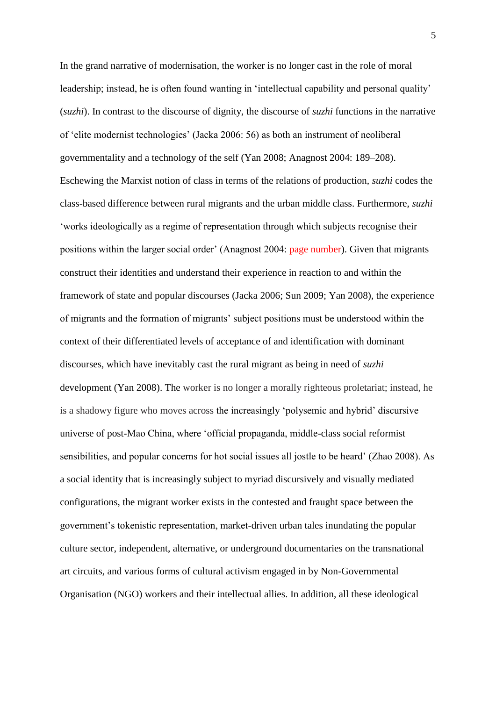In the grand narrative of modernisation, the worker is no longer cast in the role of moral leadership; instead, he is often found wanting in 'intellectual capability and personal quality' (*suzhi*). In contrast to the discourse of dignity, the discourse of *suzhi* functions in the narrative of 'elite modernist technologies' (Jacka 2006: 56) as both an instrument of neoliberal governmentality and a technology of the self (Yan 2008; Anagnost 2004: 189–208). Eschewing the Marxist notion of class in terms of the relations of production, *suzhi* codes the class-based difference between rural migrants and the urban middle class. Furthermore, *suzhi* 'works ideologically as a regime of representation through which subjects recognise their positions within the larger social order' (Anagnost 2004: page number). Given that migrants construct their identities and understand their experience in reaction to and within the framework of state and popular discourses (Jacka 2006; Sun 2009; Yan 2008), the experience of migrants and the formation of migrants' subject positions must be understood within the context of their differentiated levels of acceptance of and identification with dominant discourses, which have inevitably cast the rural migrant as being in need of *suzhi*  development (Yan 2008). The worker is no longer a morally righteous proletariat; instead, he is a shadowy figure who moves across the increasingly 'polysemic and hybrid' discursive universe of post-Mao China, where 'official propaganda, middle-class social reformist sensibilities, and popular concerns for hot social issues all jostle to be heard' (Zhao 2008). As a social identity that is increasingly subject to myriad discursively and visually mediated configurations, the migrant worker exists in the contested and fraught space between the government's tokenistic representation, market-driven urban tales inundating the popular culture sector, independent, alternative, or underground documentaries on the transnational art circuits, and various forms of cultural activism engaged in by Non-Governmental Organisation (NGO) workers and their intellectual allies. In addition, all these ideological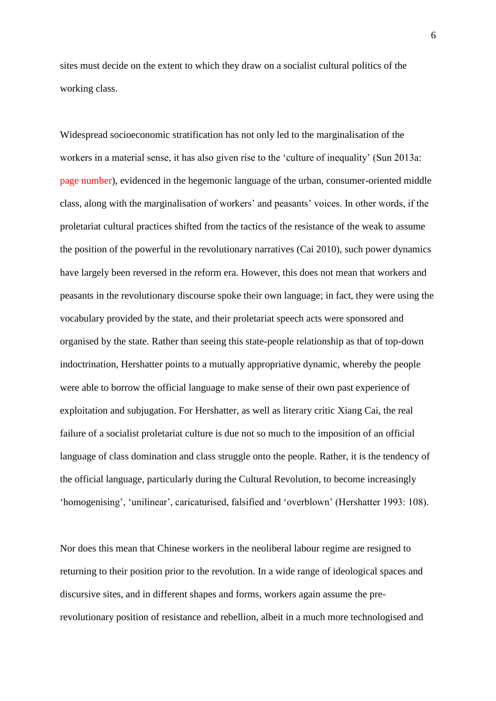sites must decide on the extent to which they draw on a socialist cultural politics of the working class.

Widespread socioeconomic stratification has not only led to the marginalisation of the workers in a material sense, it has also given rise to the 'culture of inequality' (Sun 2013a: page number), evidenced in the hegemonic language of the urban, consumer-oriented middle class, along with the marginalisation of workers' and peasants' voices. In other words, if the proletariat cultural practices shifted from the tactics of the resistance of the weak to assume the position of the powerful in the revolutionary narratives (Cai 2010), such power dynamics have largely been reversed in the reform era. However, this does not mean that workers and peasants in the revolutionary discourse spoke their own language; in fact, they were using the vocabulary provided by the state, and their proletariat speech acts were sponsored and organised by the state. Rather than seeing this state-people relationship as that of top-down indoctrination, Hershatter points to a mutually appropriative dynamic, whereby the people were able to borrow the official language to make sense of their own past experience of exploitation and subjugation. For Hershatter, as well as literary critic Xiang Cai, the real failure of a socialist proletariat culture is due not so much to the imposition of an official language of class domination and class struggle onto the people. Rather, it is the tendency of the official language, particularly during the Cultural Revolution, to become increasingly 'homogenising', 'unilinear', caricaturised, falsified and 'overblown' (Hershatter 1993: 108).

Nor does this mean that Chinese workers in the neoliberal labour regime are resigned to returning to their position prior to the revolution. In a wide range of ideological spaces and discursive sites, and in different shapes and forms, workers again assume the prerevolutionary position of resistance and rebellion, albeit in a much more technologised and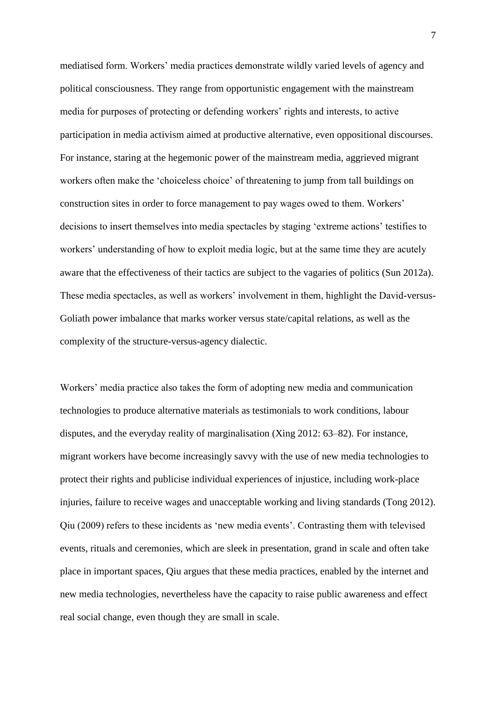mediatised form. Workers' media practices demonstrate wildly varied levels of agency and political consciousness. They range from opportunistic engagement with the mainstream media for purposes of protecting or defending workers' rights and interests, to active participation in media activism aimed at productive alternative, even oppositional discourses. For instance, staring at the hegemonic power of the mainstream media, aggrieved migrant workers often make the 'choiceless choice' of threatening to jump from tall buildings on construction sites in order to force management to pay wages owed to them. Workers' decisions to insert themselves into media spectacles by staging 'extreme actions' testifies to workers' understanding of how to exploit media logic, but at the same time they are acutely aware that the effectiveness of their tactics are subject to the vagaries of politics (Sun 2012a). These media spectacles, as well as workers' involvement in them, highlight the David-versus-Goliath power imbalance that marks worker versus state/capital relations, as well as the complexity of the structure-versus-agency dialectic.

Workers' media practice also takes the form of adopting new media and communication technologies to produce alternative materials as testimonials to work conditions, labour disputes, and the everyday reality of marginalisation (Xing 2012: 63–82). For instance, migrant workers have become increasingly savvy with the use of new media technologies to protect their rights and publicise individual experiences of injustice, including work-place injuries, failure to receive wages and unacceptable working and living standards (Tong 2012). Qiu (2009) refers to these incidents as 'new media events'. Contrasting them with televised events, rituals and ceremonies, which are sleek in presentation, grand in scale and often take place in important spaces, Qiu argues that these media practices, enabled by the internet and new media technologies, nevertheless have the capacity to raise public awareness and effect real social change, even though they are small in scale.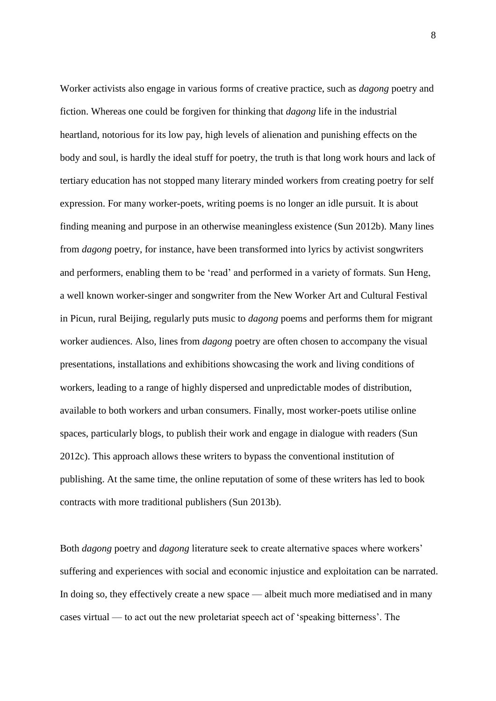Worker activists also engage in various forms of creative practice, such as *dagong* poetry and fiction. Whereas one could be forgiven for thinking that *dagong* life in the industrial heartland, notorious for its low pay, high levels of alienation and punishing effects on the body and soul, is hardly the ideal stuff for poetry, the truth is that long work hours and lack of tertiary education has not stopped many literary minded workers from creating poetry for self expression. For many worker-poets, writing poems is no longer an idle pursuit. It is about finding meaning and purpose in an otherwise meaningless existence (Sun 2012b). Many lines from *dagong* poetry, for instance, have been transformed into lyrics by activist songwriters and performers, enabling them to be 'read' and performed in a variety of formats. Sun Heng, a well known worker-singer and songwriter from the New Worker Art and Cultural Festival in Picun, rural Beijing, regularly puts music to *dagong* poems and performs them for migrant worker audiences. Also, lines from *dagong* poetry are often chosen to accompany the visual presentations, installations and exhibitions showcasing the work and living conditions of workers, leading to a range of highly dispersed and unpredictable modes of distribution, available to both workers and urban consumers. Finally, most worker-poets utilise online spaces, particularly blogs, to publish their work and engage in dialogue with readers (Sun 2012c). This approach allows these writers to bypass the conventional institution of publishing. At the same time, the online reputation of some of these writers has led to book contracts with more traditional publishers (Sun 2013b).

Both *dagong* poetry and *dagong* literature seek to create alternative spaces where workers' suffering and experiences with social and economic injustice and exploitation can be narrated. In doing so, they effectively create a new space — albeit much more mediatised and in many cases virtual — to act out the new proletariat speech act of 'speaking bitterness'. The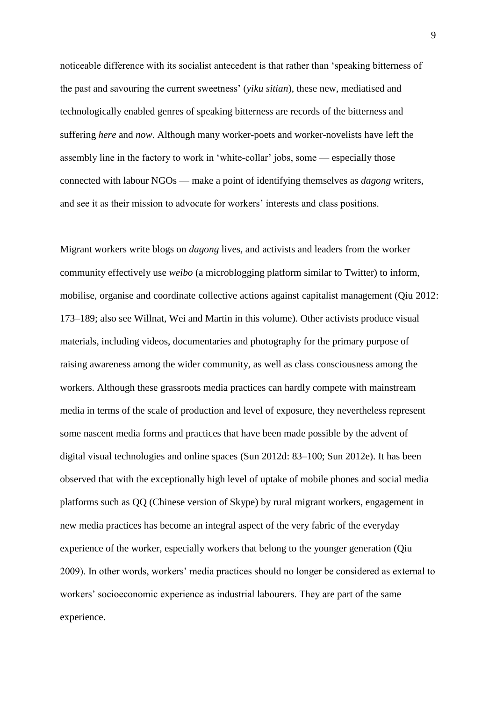noticeable difference with its socialist antecedent is that rather than 'speaking bitterness of the past and savouring the current sweetness' (*yiku sitian*), these new, mediatised and technologically enabled genres of speaking bitterness are records of the bitterness and suffering *here* and *now*. Although many worker-poets and worker-novelists have left the assembly line in the factory to work in 'white-collar' jobs, some — especially those connected with labour NGOs — make a point of identifying themselves as *dagong* writers, and see it as their mission to advocate for workers' interests and class positions.

Migrant workers write blogs on *dagong* lives, and activists and leaders from the worker community effectively use *weibo* (a microblogging platform similar to Twitter) to inform, mobilise, organise and coordinate collective actions against capitalist management (Qiu 2012: 173–189; also see Willnat, Wei and Martin in this volume). Other activists produce visual materials, including videos, documentaries and photography for the primary purpose of raising awareness among the wider community, as well as class consciousness among the workers. Although these grassroots media practices can hardly compete with mainstream media in terms of the scale of production and level of exposure, they nevertheless represent some nascent media forms and practices that have been made possible by the advent of digital visual technologies and online spaces (Sun 2012d: 83–100; Sun 2012e). It has been observed that with the exceptionally high level of uptake of mobile phones and social media platforms such as QQ (Chinese version of Skype) by rural migrant workers, engagement in new media practices has become an integral aspect of the very fabric of the everyday experience of the worker, especially workers that belong to the younger generation (Qiu 2009). In other words, workers' media practices should no longer be considered as external to workers' socioeconomic experience as industrial labourers. They are part of the same experience.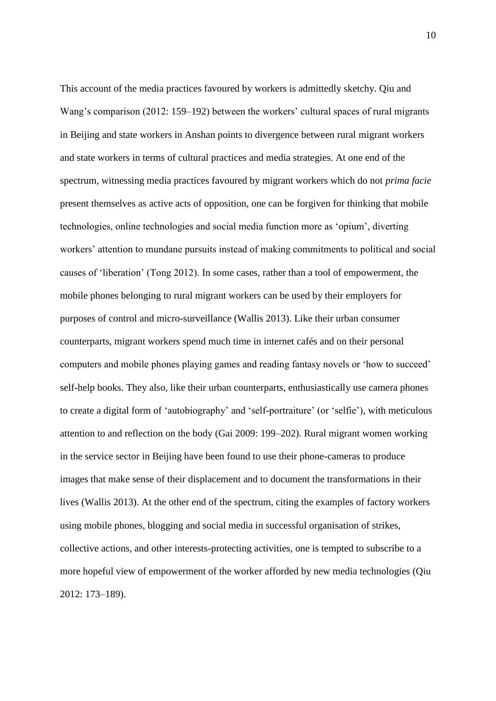This account of the media practices favoured by workers is admittedly sketchy. Qiu and Wang's comparison (2012: 159–192) between the workers' cultural spaces of rural migrants in Beijing and state workers in Anshan points to divergence between rural migrant workers and state workers in terms of cultural practices and media strategies. At one end of the spectrum, witnessing media practices favoured by migrant workers which do not *prima facie* present themselves as active acts of opposition, one can be forgiven for thinking that mobile technologies, online technologies and social media function more as 'opium', diverting workers' attention to mundane pursuits instead of making commitments to political and social causes of 'liberation' (Tong 2012). In some cases, rather than a tool of empowerment, the mobile phones belonging to rural migrant workers can be used by their employers for purposes of control and micro-surveillance (Wallis 2013). Like their urban consumer counterparts, migrant workers spend much time in internet cafés and on their personal computers and mobile phones playing games and reading fantasy novels or 'how to succeed' self-help books. They also, like their urban counterparts, enthusiastically use camera phones to create a digital form of 'autobiography' and 'self-portraiture' (or 'selfie'), with meticulous attention to and reflection on the body (Gai 2009: 199–202). Rural migrant women working in the service sector in Beijing have been found to use their phone-cameras to produce images that make sense of their displacement and to document the transformations in their lives (Wallis 2013). At the other end of the spectrum, citing the examples of factory workers using mobile phones, blogging and social media in successful organisation of strikes, collective actions, and other interests-protecting activities, one is tempted to subscribe to a more hopeful view of empowerment of the worker afforded by new media technologies (Qiu 2012: 173–189).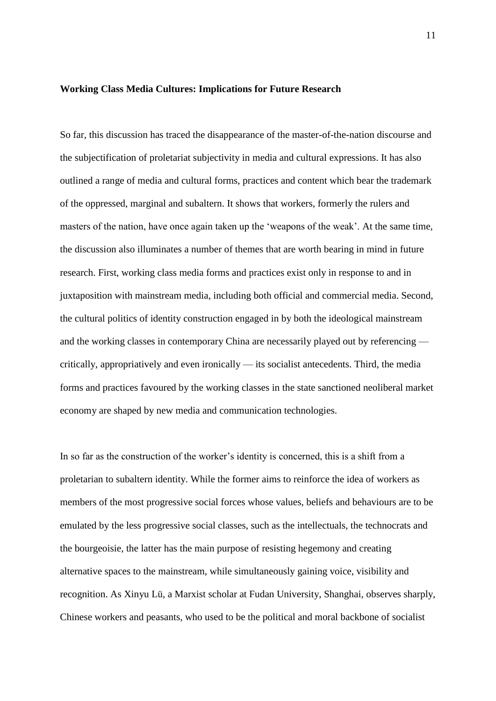## **Working Class Media Cultures: Implications for Future Research**

So far, this discussion has traced the disappearance of the master-of-the-nation discourse and the subjectification of proletariat subjectivity in media and cultural expressions. It has also outlined a range of media and cultural forms, practices and content which bear the trademark of the oppressed, marginal and subaltern. It shows that workers, formerly the rulers and masters of the nation, have once again taken up the 'weapons of the weak'. At the same time, the discussion also illuminates a number of themes that are worth bearing in mind in future research. First, working class media forms and practices exist only in response to and in juxtaposition with mainstream media, including both official and commercial media. Second, the cultural politics of identity construction engaged in by both the ideological mainstream and the working classes in contemporary China are necessarily played out by referencing critically, appropriatively and even ironically — its socialist antecedents. Third, the media forms and practices favoured by the working classes in the state sanctioned neoliberal market economy are shaped by new media and communication technologies.

In so far as the construction of the worker's identity is concerned, this is a shift from a proletarian to subaltern identity. While the former aims to reinforce the idea of workers as members of the most progressive social forces whose values, beliefs and behaviours are to be emulated by the less progressive social classes, such as the intellectuals, the technocrats and the bourgeoisie, the latter has the main purpose of resisting hegemony and creating alternative spaces to the mainstream, while simultaneously gaining voice, visibility and recognition. As Xinyu Lü, a Marxist scholar at Fudan University, Shanghai, observes sharply, Chinese workers and peasants, who used to be the political and moral backbone of socialist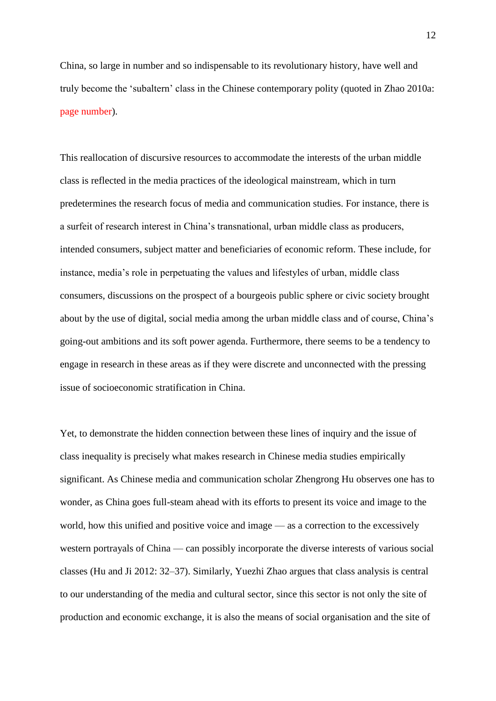China, so large in number and so indispensable to its revolutionary history, have well and truly become the 'subaltern' class in the Chinese contemporary polity (quoted in Zhao 2010a: page number).

This reallocation of discursive resources to accommodate the interests of the urban middle class is reflected in the media practices of the ideological mainstream, which in turn predetermines the research focus of media and communication studies. For instance, there is a surfeit of research interest in China's transnational, urban middle class as producers, intended consumers, subject matter and beneficiaries of economic reform. These include, for instance, media's role in perpetuating the values and lifestyles of urban, middle class consumers, discussions on the prospect of a bourgeois public sphere or civic society brought about by the use of digital, social media among the urban middle class and of course, China's going-out ambitions and its soft power agenda. Furthermore, there seems to be a tendency to engage in research in these areas as if they were discrete and unconnected with the pressing issue of socioeconomic stratification in China.

Yet, to demonstrate the hidden connection between these lines of inquiry and the issue of class inequality is precisely what makes research in Chinese media studies empirically significant. As Chinese media and communication scholar Zhengrong Hu observes one has to wonder, as China goes full-steam ahead with its efforts to present its voice and image to the world, how this unified and positive voice and image — as a correction to the excessively western portrayals of China — can possibly incorporate the diverse interests of various social classes (Hu and Ji 2012: 32–37). Similarly, Yuezhi Zhao argues that class analysis is central to our understanding of the media and cultural sector, since this sector is not only the site of production and economic exchange, it is also the means of social organisation and the site of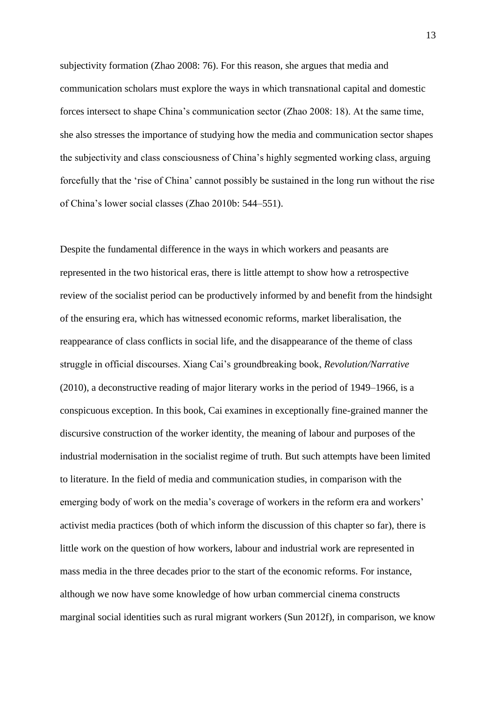subjectivity formation (Zhao 2008: 76). For this reason, she argues that media and communication scholars must explore the ways in which transnational capital and domestic forces intersect to shape China's communication sector (Zhao 2008: 18). At the same time, she also stresses the importance of studying how the media and communication sector shapes the subjectivity and class consciousness of China's highly segmented working class, arguing forcefully that the 'rise of China' cannot possibly be sustained in the long run without the rise of China's lower social classes (Zhao 2010b: 544–551).

Despite the fundamental difference in the ways in which workers and peasants are represented in the two historical eras, there is little attempt to show how a retrospective review of the socialist period can be productively informed by and benefit from the hindsight of the ensuring era, which has witnessed economic reforms, market liberalisation, the reappearance of class conflicts in social life, and the disappearance of the theme of class struggle in official discourses. Xiang Cai's groundbreaking book, *Revolution/Narrative* (2010), a deconstructive reading of major literary works in the period of 1949–1966, is a conspicuous exception. In this book, Cai examines in exceptionally fine-grained manner the discursive construction of the worker identity, the meaning of labour and purposes of the industrial modernisation in the socialist regime of truth. But such attempts have been limited to literature. In the field of media and communication studies, in comparison with the emerging body of work on the media's coverage of workers in the reform era and workers' activist media practices (both of which inform the discussion of this chapter so far), there is little work on the question of how workers, labour and industrial work are represented in mass media in the three decades prior to the start of the economic reforms. For instance, although we now have some knowledge of how urban commercial cinema constructs marginal social identities such as rural migrant workers (Sun 2012f), in comparison, we know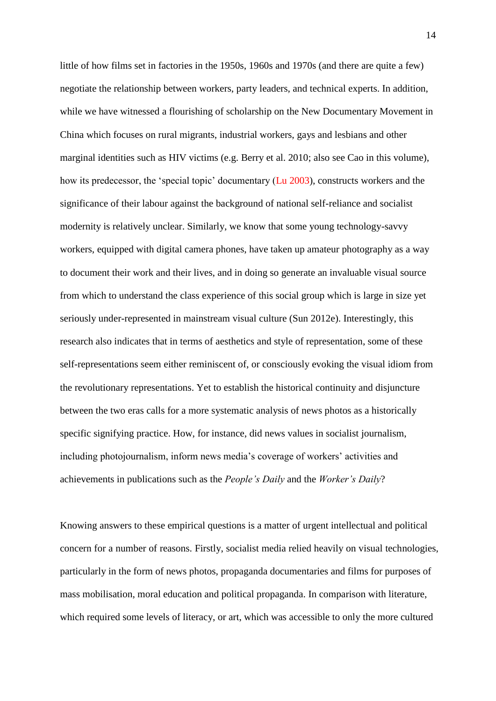little of how films set in factories in the 1950s, 1960s and 1970s (and there are quite a few) negotiate the relationship between workers, party leaders, and technical experts. In addition, while we have witnessed a flourishing of scholarship on the New Documentary Movement in China which focuses on rural migrants, industrial workers, gays and lesbians and other marginal identities such as HIV victims (e.g. Berry et al. 2010; also see Cao in this volume), how its predecessor, the 'special topic' documentary (Lu 2003), constructs workers and the significance of their labour against the background of national self-reliance and socialist modernity is relatively unclear. Similarly, we know that some young technology-savvy workers, equipped with digital camera phones, have taken up amateur photography as a way to document their work and their lives, and in doing so generate an invaluable visual source from which to understand the class experience of this social group which is large in size yet seriously under-represented in mainstream visual culture (Sun 2012e). Interestingly, this research also indicates that in terms of aesthetics and style of representation, some of these self-representations seem either reminiscent of, or consciously evoking the visual idiom from the revolutionary representations. Yet to establish the historical continuity and disjuncture between the two eras calls for a more systematic analysis of news photos as a historically specific signifying practice. How, for instance, did news values in socialist journalism, including photojournalism, inform news media's coverage of workers' activities and achievements in publications such as the *People's Daily* and the *Worker's Daily*?

Knowing answers to these empirical questions is a matter of urgent intellectual and political concern for a number of reasons. Firstly, socialist media relied heavily on visual technologies, particularly in the form of news photos, propaganda documentaries and films for purposes of mass mobilisation, moral education and political propaganda. In comparison with literature, which required some levels of literacy, or art, which was accessible to only the more cultured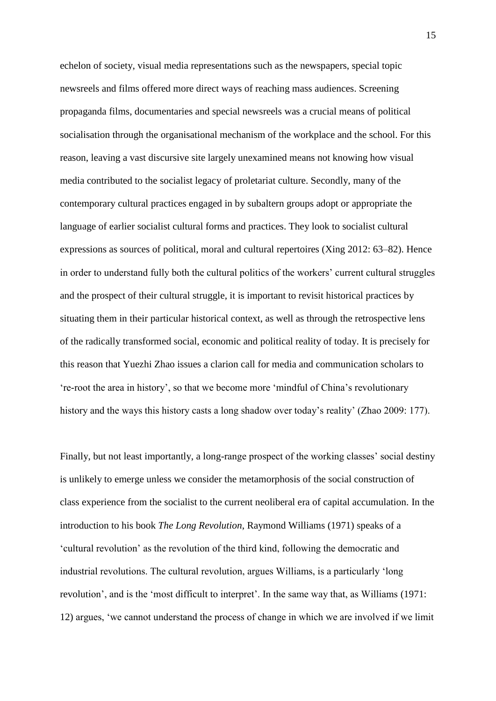echelon of society, visual media representations such as the newspapers, special topic newsreels and films offered more direct ways of reaching mass audiences. Screening propaganda films, documentaries and special newsreels was a crucial means of political socialisation through the organisational mechanism of the workplace and the school. For this reason, leaving a vast discursive site largely unexamined means not knowing how visual media contributed to the socialist legacy of proletariat culture. Secondly, many of the contemporary cultural practices engaged in by subaltern groups adopt or appropriate the language of earlier socialist cultural forms and practices. They look to socialist cultural expressions as sources of political, moral and cultural repertoires (Xing 2012: 63–82). Hence in order to understand fully both the cultural politics of the workers' current cultural struggles and the prospect of their cultural struggle, it is important to revisit historical practices by situating them in their particular historical context, as well as through the retrospective lens of the radically transformed social, economic and political reality of today. It is precisely for this reason that Yuezhi Zhao issues a clarion call for media and communication scholars to 're-root the area in history', so that we become more 'mindful of China's revolutionary history and the ways this history casts a long shadow over today's reality' (Zhao 2009: 177).

Finally, but not least importantly, a long-range prospect of the working classes' social destiny is unlikely to emerge unless we consider the metamorphosis of the social construction of class experience from the socialist to the current neoliberal era of capital accumulation. In the introduction to his book *The Long Revolution*, Raymond Williams (1971) speaks of a 'cultural revolution' as the revolution of the third kind, following the democratic and industrial revolutions. The cultural revolution, argues Williams, is a particularly 'long revolution', and is the 'most difficult to interpret'. In the same way that, as Williams (1971: 12) argues, 'we cannot understand the process of change in which we are involved if we limit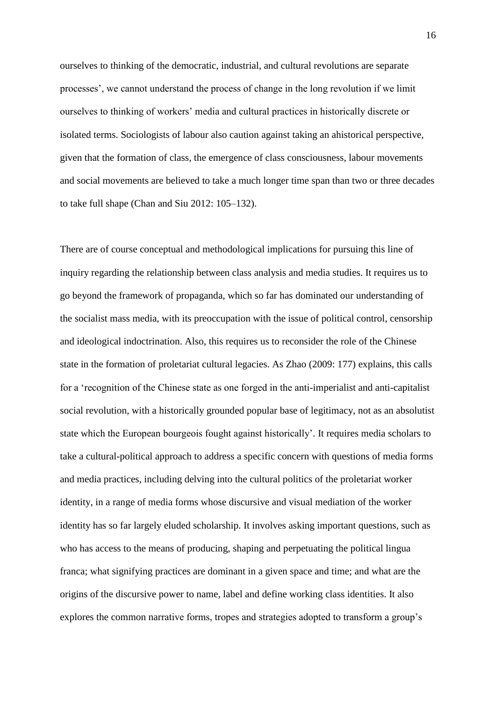ourselves to thinking of the democratic, industrial, and cultural revolutions are separate processes', we cannot understand the process of change in the long revolution if we limit ourselves to thinking of workers' media and cultural practices in historically discrete or isolated terms. Sociologists of labour also caution against taking an ahistorical perspective, given that the formation of class, the emergence of class consciousness, labour movements and social movements are believed to take a much longer time span than two or three decades to take full shape (Chan and Siu 2012: 105–132).

There are of course conceptual and methodological implications for pursuing this line of inquiry regarding the relationship between class analysis and media studies. It requires us to go beyond the framework of propaganda, which so far has dominated our understanding of the socialist mass media, with its preoccupation with the issue of political control, censorship and ideological indoctrination. Also, this requires us to reconsider the role of the Chinese state in the formation of proletariat cultural legacies. As Zhao (2009: 177) explains, this calls for a 'recognition of the Chinese state as one forged in the anti-imperialist and anti-capitalist social revolution, with a historically grounded popular base of legitimacy, not as an absolutist state which the European bourgeois fought against historically'. It requires media scholars to take a cultural-political approach to address a specific concern with questions of media forms and media practices, including delving into the cultural politics of the proletariat worker identity, in a range of media forms whose discursive and visual mediation of the worker identity has so far largely eluded scholarship. It involves asking important questions, such as who has access to the means of producing, shaping and perpetuating the political lingua franca; what signifying practices are dominant in a given space and time; and what are the origins of the discursive power to name, label and define working class identities. It also explores the common narrative forms, tropes and strategies adopted to transform a group's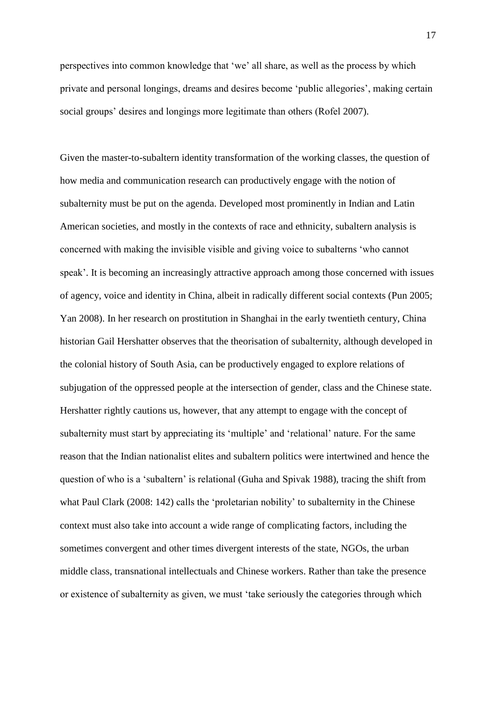perspectives into common knowledge that 'we' all share, as well as the process by which private and personal longings, dreams and desires become 'public allegories', making certain social groups' desires and longings more legitimate than others (Rofel 2007).

Given the master-to-subaltern identity transformation of the working classes, the question of how media and communication research can productively engage with the notion of subalternity must be put on the agenda. Developed most prominently in Indian and Latin American societies, and mostly in the contexts of race and ethnicity, subaltern analysis is concerned with making the invisible visible and giving voice to subalterns 'who cannot speak'. It is becoming an increasingly attractive approach among those concerned with issues of agency, voice and identity in China, albeit in radically different social contexts (Pun 2005; Yan 2008). In her research on prostitution in Shanghai in the early twentieth century, China historian Gail Hershatter observes that the theorisation of subalternity, although developed in the colonial history of South Asia, can be productively engaged to explore relations of subjugation of the oppressed people at the intersection of gender, class and the Chinese state. Hershatter rightly cautions us, however, that any attempt to engage with the concept of subalternity must start by appreciating its 'multiple' and 'relational' nature. For the same reason that the Indian nationalist elites and subaltern politics were intertwined and hence the question of who is a 'subaltern' is relational (Guha and Spivak 1988), tracing the shift from what Paul Clark (2008: 142) calls the 'proletarian nobility' to subalternity in the Chinese context must also take into account a wide range of complicating factors, including the sometimes convergent and other times divergent interests of the state, NGOs, the urban middle class, transnational intellectuals and Chinese workers. Rather than take the presence or existence of subalternity as given, we must 'take seriously the categories through which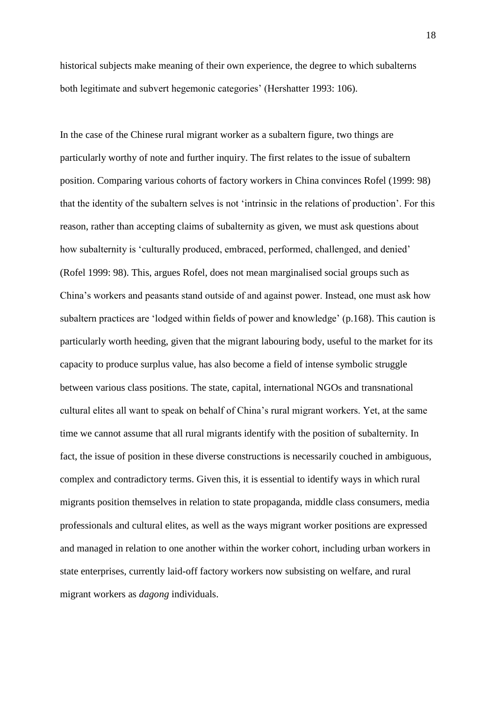historical subjects make meaning of their own experience, the degree to which subalterns both legitimate and subvert hegemonic categories' (Hershatter 1993: 106).

In the case of the Chinese rural migrant worker as a subaltern figure, two things are particularly worthy of note and further inquiry. The first relates to the issue of subaltern position. Comparing various cohorts of factory workers in China convinces Rofel (1999: 98) that the identity of the subaltern selves is not 'intrinsic in the relations of production'. For this reason, rather than accepting claims of subalternity as given, we must ask questions about how subalternity is 'culturally produced, embraced, performed, challenged, and denied' (Rofel 1999: 98). This, argues Rofel, does not mean marginalised social groups such as China's workers and peasants stand outside of and against power. Instead, one must ask how subaltern practices are 'lodged within fields of power and knowledge' (p.168). This caution is particularly worth heeding, given that the migrant labouring body, useful to the market for its capacity to produce surplus value, has also become a field of intense symbolic struggle between various class positions. The state, capital, international NGOs and transnational cultural elites all want to speak on behalf of China's rural migrant workers. Yet, at the same time we cannot assume that all rural migrants identify with the position of subalternity. In fact, the issue of position in these diverse constructions is necessarily couched in ambiguous, complex and contradictory terms. Given this, it is essential to identify ways in which rural migrants position themselves in relation to state propaganda, middle class consumers, media professionals and cultural elites, as well as the ways migrant worker positions are expressed and managed in relation to one another within the worker cohort, including urban workers in state enterprises, currently laid-off factory workers now subsisting on welfare, and rural migrant workers as *dagong* individuals.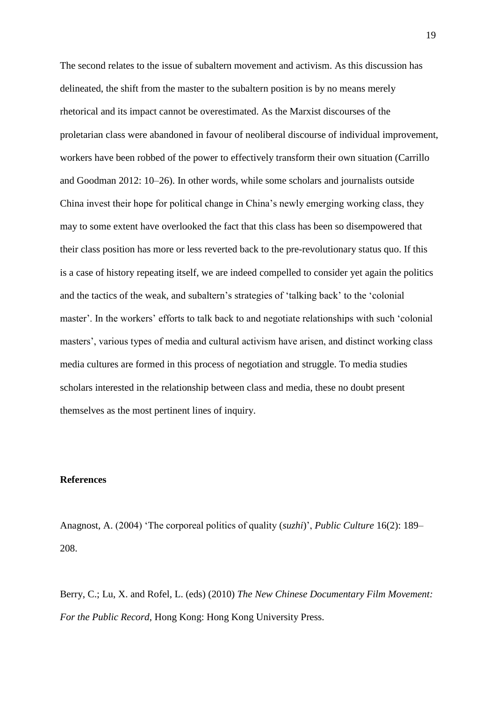The second relates to the issue of subaltern movement and activism. As this discussion has delineated, the shift from the master to the subaltern position is by no means merely rhetorical and its impact cannot be overestimated. As the Marxist discourses of the proletarian class were abandoned in favour of neoliberal discourse of individual improvement, workers have been robbed of the power to effectively transform their own situation (Carrillo and Goodman 2012: 10–26). In other words, while some scholars and journalists outside China invest their hope for political change in China's newly emerging working class, they may to some extent have overlooked the fact that this class has been so disempowered that their class position has more or less reverted back to the pre-revolutionary status quo. If this is a case of history repeating itself, we are indeed compelled to consider yet again the politics and the tactics of the weak, and subaltern's strategies of 'talking back' to the 'colonial master'. In the workers' efforts to talk back to and negotiate relationships with such 'colonial masters', various types of media and cultural activism have arisen, and distinct working class media cultures are formed in this process of negotiation and struggle. To media studies scholars interested in the relationship between class and media, these no doubt present themselves as the most pertinent lines of inquiry.

## **References**

Anagnost, A. (2004) 'The corporeal politics of quality (*suzhi*)', *Public Culture* 16(2): 189– 208.

Berry, C.; Lu, X. and Rofel, L. (eds) (2010) *The New Chinese Documentary Film Movement: For the Public Record*, Hong Kong: Hong Kong University Press.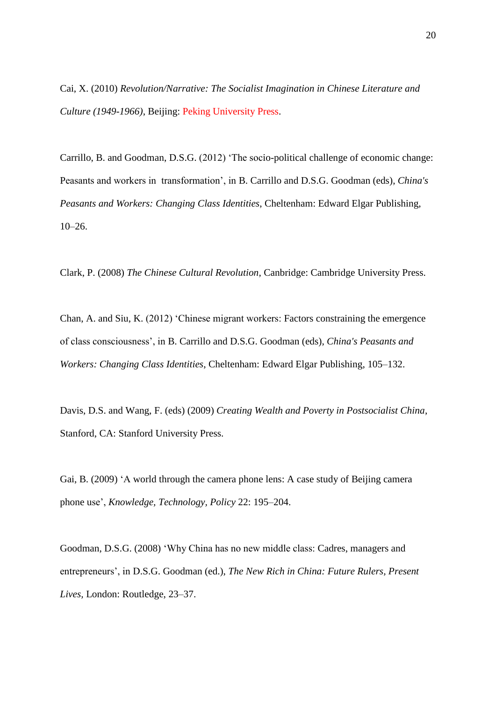Cai, X. (2010) *Revolution/Narrative: The Socialist Imagination in Chinese Literature and Culture (1949-1966)*, Beijing: Peking University Press.

Carrillo, B. and Goodman, D.S.G. (2012) 'The socio-political challenge of economic change: Peasants and workers in transformation', in B. Carrillo and D.S.G. Goodman (eds), *China's Peasants and Workers: Changing Class Identities*, Cheltenham: Edward Elgar Publishing,  $10-26$ .

Clark, P. (2008) *The Chinese Cultural Revolution*, Canbridge: Cambridge University Press.

Chan, A. and Siu, K. (2012) 'Chinese migrant workers: Factors constraining the emergence of class consciousness', in B. Carrillo and D.S.G. Goodman (eds), *China's Peasants and Workers: Changing Class Identities*, Cheltenham: Edward Elgar Publishing, 105–132.

Davis, D.S. and Wang, F. (eds) (2009) *Creating Wealth and Poverty in Postsocialist China*, Stanford, CA: Stanford University Press.

Gai, B. (2009) 'A world through the camera phone lens: A case study of Beijing camera phone use', *Knowledge, Technology, Policy* 22: 195–204.

Goodman, D.S.G. (2008) 'Why China has no new middle class: Cadres, managers and entrepreneurs', in D.S.G. Goodman (ed.), *The New Rich in China: Future Rulers, Present Lives,* London: Routledge, 23–37.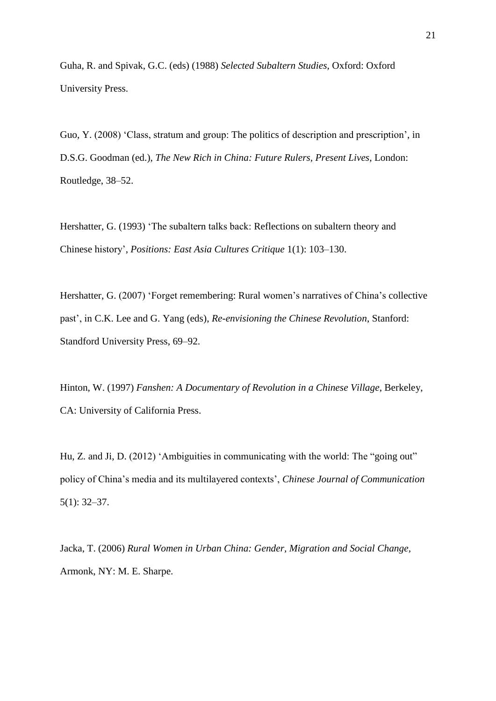Guha, R. and Spivak, G.C. (eds) (1988) *Selected Subaltern Studies*, Oxford: Oxford University Press.

Guo, Y. (2008) 'Class, stratum and group: The politics of description and prescription', in D.S.G. Goodman (ed.), *The New Rich in China: Future Rulers, Present Lives*, London: Routledge, 38–52.

Hershatter, G. (1993) 'The subaltern talks back: Reflections on subaltern theory and Chinese history', *Positions: East Asia Cultures Critique* 1(1): 103–130.

Hershatter, G. (2007) 'Forget remembering: Rural women's narratives of China's collective past', in C.K. Lee and G. Yang (eds), *Re-envisioning the Chinese Revolution*, Stanford: Standford University Press, 69–92.

Hinton, W. (1997) *Fanshen: A Documentary of Revolution in a Chinese Village*, Berkeley, CA: University of California Press.

Hu, Z. and Ji, D. (2012) 'Ambiguities in communicating with the world: The "going out" policy of China's media and its multilayered contexts', *Chinese Journal of Communication* 5(1): 32–37.

Jacka, T. (2006) *Rural Women in Urban China: Gender, Migration and Social Change,*  Armonk, NY: M. E. Sharpe.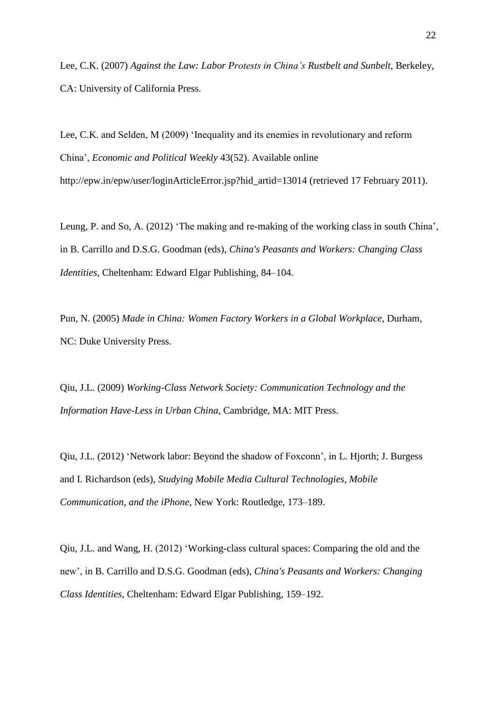Lee, C.K. (2007) *Against the Law: Labor Protests in China's Rustbelt and Sunbelt*, Berkeley, CA: University of California Press.

Lee, C.K. and Selden, M (2009) 'Inequality and its enemies in revolutionary and reform China', *Economic and Political Weekly* 43(52). Available online http://epw.in/epw/user/loginArticleError.jsp?hid\_artid=13014 (retrieved 17 February 2011).

Leung, P. and So, A. (2012) 'The making and re-making of the working class in south China', in B. Carrillo and D.S.G. Goodman (eds), *China's Peasants and Workers: Changing Class Identities*, Cheltenham: Edward Elgar Publishing, 84–104.

Pun, N. (2005) *Made in China: Women Factory Workers in a Global Workplace,* Durham, NC: Duke University Press.

Qiu, J.L. (2009) *Working-Class Network Society: Communication Technology and the Information Have-Less in Urban China*, Cambridge, MA: MIT Press.

Qiu, J.L. (2012) 'Network labor: Beyond the shadow of Foxconn', in L. Hjorth; J. Burgess and I. Richardson (eds), *Studying Mobile Media Cultural Technologies, Mobile Communication, and the iPhone,* New York: Routledge, 173–189.

Qiu, J.L. and Wang, H. (2012) 'Working-class cultural spaces: Comparing the old and the new', in B. Carrillo and D.S.G. Goodman (eds), *China's Peasants and Workers: Changing Class Identities,* Cheltenham: Edward Elgar Publishing, 159–192.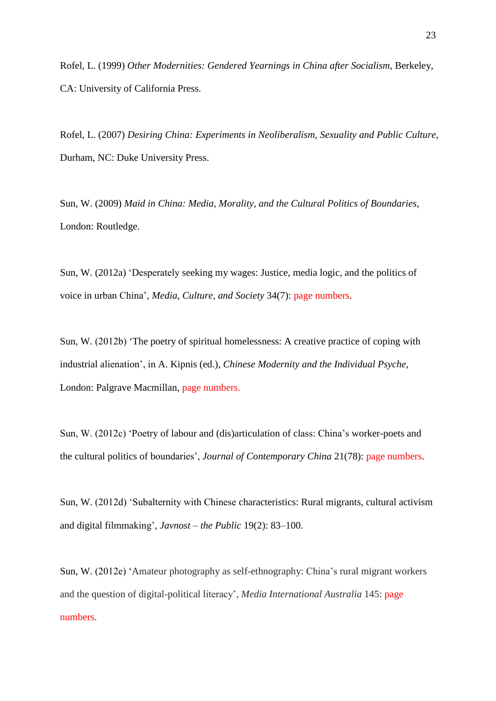Rofel, L. (1999) *Other Modernities: Gendered Yearnings in China after Socialism*, Berkeley, CA: University of California Press.

Rofel, L. (2007) *Desiring China: Experiments in Neoliberalism, Sexuality and Public Culture*, Durham, NC: Duke University Press.

Sun, W. (2009) *Maid in China: Media, Morality, and the Cultural Politics of Boundaries*, London: Routledge.

Sun, W. (2012a) 'Desperately seeking my wages: Justice, media logic, and the politics of voice in urban China', *Media, Culture, and Society* 34(7): page numbers.

Sun, W. (2012b) 'The poetry of spiritual homelessness: A creative practice of coping with industrial alienation', in A. Kipnis (ed.), *Chinese Modernity and the Individual Psyche*, London: Palgrave Macmillan, page numbers.

Sun, W. (2012c) 'Poetry of labour and (dis)articulation of class: China's worker-poets and the cultural politics of boundaries', *Journal of Contemporary China* 21(78): page numbers.

Sun, W. (2012d) 'Subalternity with Chinese characteristics: Rural migrants, cultural activism and digital filmmaking', *Javnost – the Public* 19(2): 83–100.

Sun, W. (2012e) 'Amateur photography as self-ethnography: China's rural migrant workers and the question of digital-political literacy', *Media International Australia* 145: page numbers.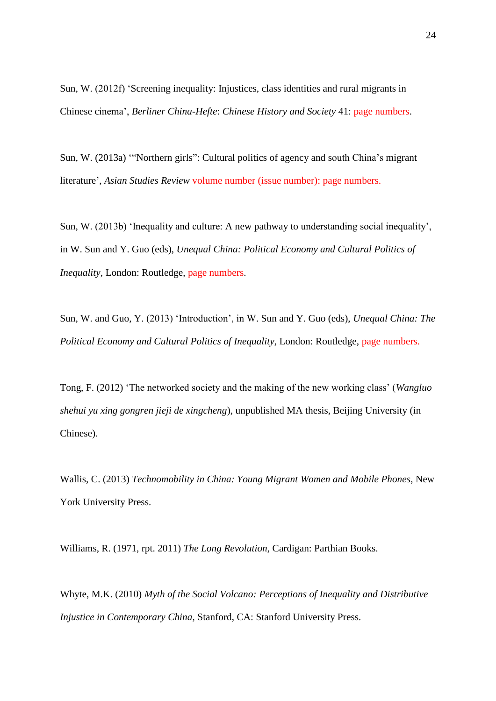Sun, W. (2012f) 'Screening inequality: Injustices, class identities and rural migrants in Chinese cinema', *Berliner China-Hefte*: *Chinese History and Society* 41: page numbers.

Sun, W. (2013a) '"Northern girls": Cultural politics of agency and south China's migrant literature', *Asian Studies Review* volume number (issue number): page numbers.

Sun, W. (2013b) 'Inequality and culture: A new pathway to understanding social inequality', in W. Sun and Y. Guo (eds), *Unequal China: Political Economy and Cultural Politics of Inequality*, London: Routledge, page numbers.

Sun, W. and Guo, Y. (2013) 'Introduction', in W. Sun and Y. Guo (eds), *Unequal China: The Political Economy and Cultural Politics of Inequality*, London: Routledge, page numbers.

Tong, F. (2012) 'The networked society and the making of the new working class' (*Wangluo shehui yu xing gongren jieji de xingcheng*), unpublished MA thesis, Beijing University (in Chinese).

Wallis, C. (2013) *Technomobility in China: Young Migrant Women and Mobile Phones*, New York University Press.

Williams, R. (1971, rpt. 2011) *The Long Revolution,* Cardigan: Parthian Books.

Whyte, M.K. (2010) *Myth of the Social Volcano: Perceptions of Inequality and Distributive Injustice in Contemporary China*, Stanford, CA: Stanford University Press.